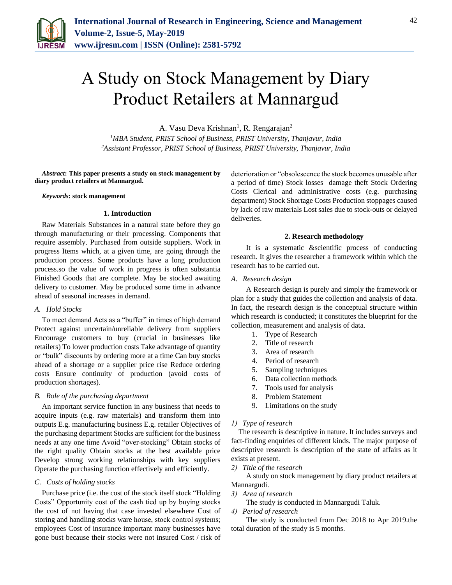

# A Study on Stock Management by Diary Product Retailers at Mannargud

A. Vasu Deva Krishnan<sup>1</sup>, R. Rengarajan<sup>2</sup>

*<sup>1</sup>MBA Student, PRIST School of Business, PRIST University, Thanjavur, India 2Assistant Professor, PRIST School of Business, PRIST University, Thanjavur, India*

*Abstract***: This paper presents a study on stock management by diary product retailers at Mannargud.**

#### *Keywords***: stock management**

## **1. Introduction**

Raw Materials Substances in a natural state before they go through manufacturing or their processing. Components that require assembly. Purchased from outside suppliers. Work in progress Items which, at a given time, are going through the production process. Some products have a long production process.so the value of work in progress is often substantia Finished Goods that are complete. May be stocked awaiting delivery to customer. May be produced some time in advance ahead of seasonal increases in demand.

#### *A. Hold Stocks*

To meet demand Acts as a "buffer" in times of high demand Protect against uncertain/unreliable delivery from suppliers Encourage customers to buy (crucial in businesses like retailers) To lower production costs Take advantage of quantity or "bulk" discounts by ordering more at a time Can buy stocks ahead of a shortage or a supplier price rise Reduce ordering costs Ensure continuity of production (avoid costs of production shortages).

#### *B. Role of the purchasing department*

An important service function in any business that needs to acquire inputs (e.g. raw materials) and transform them into outputs E.g. manufacturing business E.g. retailer Objectives of the purchasing department Stocks are sufficient for the business needs at any one time Avoid "over-stocking" Obtain stocks of the right quality Obtain stocks at the best available price Develop strong working relationships with key suppliers Operate the purchasing function effectively and efficiently.

## *C. Costs of holding stocks*

Purchase price (i.e. the cost of the stock itself stock "Holding Costs" Opportunity cost of the cash tied up by buying stocks the cost of not having that case invested elsewhere Cost of storing and handling stocks ware house, stock control systems; employees Cost of insurance important many businesses have gone bust because their stocks were not insured Cost / risk of deterioration or "obsolescence the stock becomes unusable after a period of time) Stock losses damage theft Stock Ordering Costs Clerical and administrative costs (e.g. purchasing department) Stock Shortage Costs Production stoppages caused by lack of raw materials Lost sales due to stock-outs or delayed deliveries.

#### **2. Research methodology**

It is a systematic &scientific process of conducting research. It gives the researcher a framework within which the research has to be carried out.

## *A. Research design*

A Research design is purely and simply the framework or plan for a study that guides the collection and analysis of data. In fact, the research design is the conceptual structure within which research is conducted; it constitutes the blueprint for the collection, measurement and analysis of data.

- 1. Type of Research
- 2. Title of research
- 3. Area of research
- 4. Period of research
- 5. Sampling techniques
- 6. Data collection methods
- 7. Tools used for analysis
- 8. Problem Statement
- 9. Limitations on the study

## *1) Type of research*

The research is descriptive in nature. It includes surveys and fact-finding enquiries of different kinds. The major purpose of descriptive research is description of the state of affairs as it exists at present.

*2) Title of the research*

A study on stock management by diary product retailers at Mannargudi.

*3) Area of research*

The study is conducted in Mannargudi Taluk.

*4) Period of research*

The study is conducted from Dec 2018 to Apr 2019.the total duration of the study is 5 months.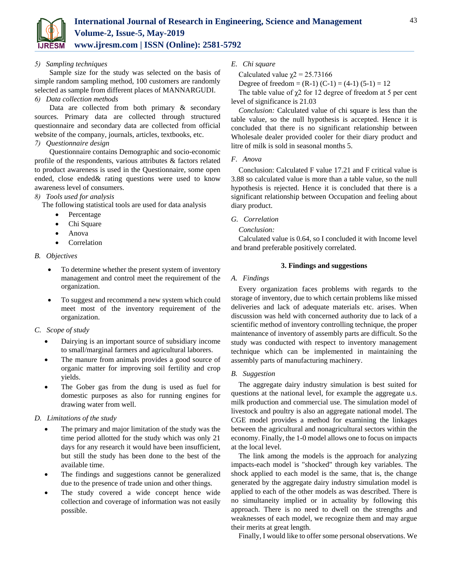

# *5) Sampling techniques*

Sample size for the study was selected on the basis of simple random sampling method, 100 customers are randomly selected as sample from different places of MANNARGUDI.

# *6) Data collection methods*

Data are collected from both primary & secondary sources. Primary data are collected through structured questionnaire and secondary data are collected from official website of the company, journals, articles, textbooks, etc.

# *7) Questionnaire design*

Questionnaire contains Demographic and socio-economic profile of the respondents, various attributes & factors related to product awareness is used in the Questionnaire, some open ended, close ended& rating questions were used to know awareness level of consumers.

# *8) Tools used for analysis*

The following statistical tools are used for data analysis

- Percentage
- Chi Square
- Anova
- Correlation

## *B. Objectives*

- To determine whether the present system of inventory management and control meet the requirement of the organization.
- To suggest and recommend a new system which could meet most of the inventory requirement of the organization.
- *C. Scope of study*
	- Dairying is an important source of subsidiary income to small/marginal farmers and agricultural laborers.
	- The manure from animals provides a good source of organic matter for improving soil fertility and crop yields.
	- The Gober gas from the dung is used as fuel for domestic purposes as also for running engines for drawing water from well.

# *D. Limitations of the study*

- The primary and major limitation of the study was the time period allotted for the study which was only 21 days for any research it would have been insufficient, but still the study has been done to the best of the available time.
- The findings and suggestions cannot be generalized due to the presence of trade union and other things.
- The study covered a wide concept hence wide collection and coverage of information was not easily possible.

# *E. Chi square*

Calculated value  $\chi$ <sup>2</sup> = 25.73166

Degree of freedom =  $(R-1)$   $(C-1)$  =  $(4-1)$   $(5-1)$  = 12

The table value of  $\chi$ 2 for 12 degree of freedom at 5 per cent level of significance is 21.03

*Conclusion:* Calculated value of chi square is less than the table value, so the null hypothesis is accepted. Hence it is concluded that there is no significant relationship between Wholesale dealer provided cooler for their diary product and litre of milk is sold in seasonal months 5.

# *F. Anova*

Conclusion: Calculated F value 17.21 and F critical value is 3.88 so calculated value is more than a table value, so the null hypothesis is rejected. Hence it is concluded that there is a significant relationship between Occupation and feeling about diary product.

# *G. Correlation*

*Conclusion:* 

Calculated value is 0.64, so I concluded it with Income level and brand preferable positively correlated.

## **3. Findings and suggestions**

# *A. Findings*

Every organization faces problems with regards to the storage of inventory, due to which certain problems like missed deliveries and lack of adequate materials etc. arises. When discussion was held with concerned authority due to lack of a scientific method of inventory controlling technique, the proper maintenance of inventory of assembly parts are difficult. So the study was conducted with respect to inventory management technique which can be implemented in maintaining the assembly parts of manufacturing machinery.

## *B. Suggestion*

The aggregate dairy industry simulation is best suited for questions at the national level, for example the aggregate u.s. milk production and commercial use. The simulation model of livestock and poultry is also an aggregate national model. The CGE model provides a method for examining the linkages between the agricultural and nonagricultural sectors within the economy. Finally, the 1-0 model allows one to focus on impacts at the local level.

The link among the models is the approach for analyzing impacts-each model is "shocked" through key variables. The shock applied to each model is the same, that is, the change generated by the aggregate dairy industry simulation model is applied to each of the other models as was described. There is no simultaneity implied or in actuality by following this approach. There is no need to dwell on the strengths and weaknesses of each model, we recognize them and may argue their merits at great length.

Finally, I would like to offer some personal observations. We